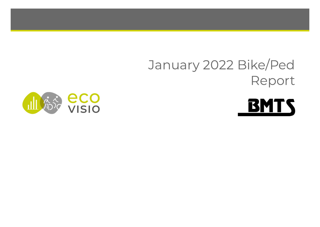# January 2022 Bike/Ped Report



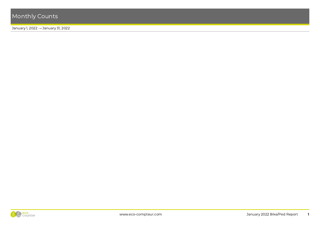January 1, 2022 → January 31, 2022



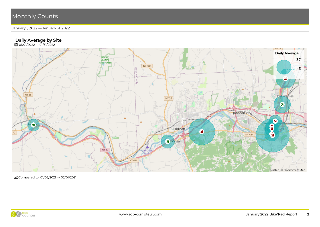#### January 1, 2022 → January 31, 2022

#### Daily Average by Site

**曲** 01/01/2022 → 01/31/2022



Compared to  $01/02/2021 \rightarrow 02/01/2021$ 

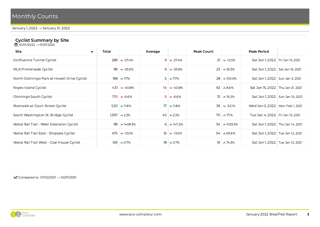January 1, 2022 → January 31, 2022

#### Cyclist Summary by Site

**曲** 01/01/2022 → 01/31/2022

| Site<br>$\blacktriangle$                     | Total |                       | Average |                     | Peak Count |                      | <b>Peak Period</b>                 |  |  |  |
|----------------------------------------------|-------|-----------------------|---------|---------------------|------------|----------------------|------------------------------------|--|--|--|
| Confluence Tunnel Cyclist                    |       | $289 \times -27.4\%$  |         | $9 \times 27.4\%$   |            | $21 \times -12.5\%$  | Sat Jan 1, 2022   Fri Jan 15, 2021 |  |  |  |
| MLK Promenade Cyclist                        |       | $181 \times -33.9\%$  |         | $6 \vee 33.9\%$     |            | $23 \times 35.3\%$   | Sat Jan 1, 2022   Sat Jan 16, 2021 |  |  |  |
| North Ostiningo Park at Howell Drive Cyclist |       | $168 \sim 7.7\%$      |         | $5 \times 7.7\%$    |            | $28 \times 100.0\%$  | Sat Jan 1, 2022 Sun Jan 3, 2021    |  |  |  |
| Noyes Island Cyclist                         |       | $431 \times -40.8\%$  |         | $14 \times -40.8\%$ |            | $63 \times 8.6\%$    | Sat Jan 15, 2022 Thu Jan 21, 2021  |  |  |  |
| Otsiningo South Cyclist                      |       | $170 \times -6.6\%$   |         | $5 \times 6.6\%$    |            | $31 \times 19.2\%$   | Sat Jan 1, 2022   Sun Jan 10, 2021 |  |  |  |
| Riverwalk at Court Street Cyclist            |       | 520 $\sim$ 11.8%      |         | $17 \times 11.8\%$  |            | $36 \times -32.1\%$  | Wed Jan 5, 2022   Mon Feb 1, 2021  |  |  |  |
| South Washington St. Bridge Cyclist          |       | $1,397$ $\sim$ 2.3%   |         | $45 \times 2.3\%$   |            | $70 \times 7.7\%$    | Tue Jan 4, 2022   Fri Jan 15, 2021 |  |  |  |
| Vestal Rail Trail - West Extension Cyclist   |       | $181 \times 1408.3\%$ |         | $6 \times 1411.2\%$ |            | $34 \times 1033.3\%$ | Sat Jan 1, 2022   Thu Jan 14, 2021 |  |  |  |
| Vestal Rail Trail East - Shoppes Cyclist     |       | $475 \times -13.0\%$  |         | $15 \times -13.0\%$ |            | $54 \times 63.6\%$   | Sat Jan 1, 2022   Tue Jan 12, 2021 |  |  |  |
| Vestal Rail Trail West - Coal House Cyclist  |       | 561 $\sim 0.7\%$      |         | $18 \times 0.7\%$   |            | 61 $\sim$ 74.3%      | Sat Jan 1, 2022   Tue Jan 12, 2021 |  |  |  |
|                                              |       |                       |         |                     |            |                      |                                    |  |  |  |

 $\triangleright$  Compared to 01/02/2021  $\rightarrow$  02/01/2021

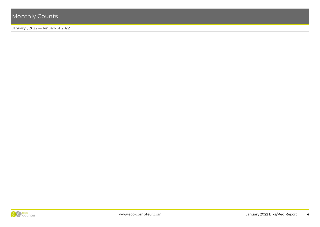#### January 1, 2022 → January 31, 2022

### **Pedestrian Summary by Site**

**曲** 01/01/2022 → 01/31/2022

| <b>Site</b><br>$\blacktriangle$                 | Total |                                 | Average |                      | Peak Count |                        | <b>Peak Period</b>                  |                                    |
|-------------------------------------------------|-------|---------------------------------|---------|----------------------|------------|------------------------|-------------------------------------|------------------------------------|
| Confluence Tunnel Pedestrian                    |       | $2,192$ $\triangleright$ -36.2% |         | $71 \times -36.2\%$  |            | $139 \times -35.9\%$   | Sat Jan 1, 2022   Sat Jan 2, 2021   |                                    |
| MLK Promenade Pedestrian                        |       | $1,535$ $\triangleright$ -27.1% |         | 50 $\bullet$ -27.1%  |            | $89 \times -14.4\%$    | Tue Jan 4, 2022   Mon Jan 18, 2021  |                                    |
| North Ostiningo Park at Howell Drive Pedestrian |       | $4,552$ $\vee$ -23.8%           |         | $147 \times -23.8\%$ |            | $344 \times 8.0\%$     |                                     | Sat Jan 1, 2022   Sun Jan 10, 2021 |
| Noyes Island Pedestrian                         |       | $1,164$ $\bullet$ -15.0%        |         | $38 \times -15.0\%$  |            | $92 \times 33.3\%$     | Tue Jan 4, 2022   Mon Jan 18, 2021  |                                    |
| Otsiningo South Pedestrian                      |       | $3,586$ $\rightarrow$ 5.3%      |         | $116 \times 5.3\%$   |            | 428 $\triangle 64.0\%$ | Sat Jan 1, 2022   Sun Jan 10, 2021  |                                    |
| Owego Riverwalk                                 |       | $1,409$ $\lambda$ 128.7%        |         | 45 $\lambda$ 128.7%  |            | $95 \times 8.0\%$      | Sat Jan 1, 2022   Sat Jan 30, 2021  |                                    |
| Riverwalk at Court Street Pedestrian            |       | $2,241$ $\triangleright$ -11.2% |         | $72 \times -11.2\%$  |            | $206 \times -28.2\%$   | Sat Jan 1, 2022   Tue Jan 19, 2021  |                                    |
| South Washington St. Bridge Pedestrian          |       | $10,184$ $\bullet$ -13.5%       |         | $329 \times 13.5\%$  |            | $558 \times 39.1\%$    | Wed Jan 19, 2022   Fri Jan 15, 2021 |                                    |
| Vestal Rail Trail - West Extension Pedestrian   |       | $1,999$ $\sim$ 150.8%           |         | $64 \times 150.8\%$  |            | $237 \times 238.6\%$   | Sat Jan 1, 2022   Sun Jan 17, 2021  |                                    |
| Vestal Rail Trail East - Shoppes Pedestrian     |       | $7,615$ $\bullet$ -29.7%        |         | $246 \times -29.7\%$ |            | $603 \times 6.2\%$     | Sat Jan 1, 2022   Sun Jan 10, 2021  |                                    |
| Vestal Rail Trail West - Coal House Pedestrian  |       | $8,305$ $\triangleright$ -29.3% |         | $268 \times -29.3\%$ |            | 618 $\vee$ -9.3%       |                                     | Sat Jan 1, 2022   Sun Jan 10, 2021 |

 $\triangleright$  Compared to 01/02/2021  $\rightarrow$  02/01/2021

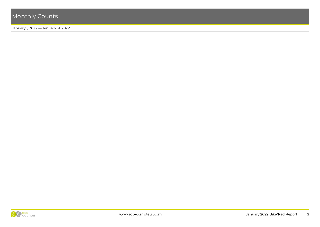January 1, 2022 → January 31, 2022

| <b>Total Summary by Site</b><br>$\frac{100}{100}$ 01/01/2022 → 01/31/2022 |       |                                 |         |                               |  |                           |                                     |                                    |  |  |
|---------------------------------------------------------------------------|-------|---------------------------------|---------|-------------------------------|--|---------------------------|-------------------------------------|------------------------------------|--|--|
| Site<br>▲                                                                 | Total |                                 | Average | Peak Count                    |  | <b>Peak Period</b>        |                                     |                                    |  |  |
| Confluence Tunnel                                                         |       | $2,481$ $\vee$ -35.3%           |         | 80 $\bullet$ -35.3%           |  | $160 \times 30.1\%$       | Sat Jan 1, 2022   Sat Jan 2, 2021   |                                    |  |  |
| MLK Promenade                                                             |       | $1,716$ $\vee$ -27.9%           |         | 55 $\sqrt{27.9\%}$            |  | $104 \times 8.0\%$        |                                     | Sat Jan 1, 2022   Wed Jan 13, 2021 |  |  |
| North Ostiningo Park at Howell Drive                                      |       | $4,720$ $\triangleright$ -23.0% |         | $152$ $\triangleright$ -23.0% |  | $372 \times -2.4\%$       | Sat Jan 1, 2022   Sun Jan 10, 2021  |                                    |  |  |
| Noyes Island                                                              |       | $1,595$ $\bullet$ -24.0%        |         | 51 $\sqrt{-24.0\%}$           |  | $115 \times 8.5\%$        | Wed Jan 5, 2022 Thu Jan 21, 2021    |                                    |  |  |
| Otsiningo South                                                           |       | $3.756 \times 4.7\%$            |         | 121 $\land$ 4.7%              |  | $459 \times 59.9\%$       | Sat Jan 1, 2022   Sun Jan 10, 2021  |                                    |  |  |
| Owego Riverwalk                                                           |       | $1,409$ $\lambda$ 128.7%        |         | 45 $\lambda$ 128.7%           |  | $95 \times 8.0\%$         | Sat Jan 1, 2022   Sat Jan 30, 2021  |                                    |  |  |
| Riverwalk at Court Street                                                 |       | $2,761$ $\bullet$ -7.6%         |         | 89 $\bullet$ -7.6%            |  | $240 \times -23.6\%$      | Sat Jan 1, 2022   Tue Jan 19, 2021  |                                    |  |  |
| South Washington St. Bridge                                               |       | $11,581$ $\bullet$ -11.9%       |         | $374 \times 11.9\%$           |  | $625 \rightarrow -36.3\%$ | Wed Jan 19, 2022   Fri Jan 15, 2021 |                                    |  |  |
| Vestal Rail Trail - West Extension                                        |       | $2,180$ $\lambda$ 169.5%        |         | $70 \times 169.5\%$           |  | 271 ★ 287.1%              | Sat Jan 1, 2022   Sun Jan 17, 2021  |                                    |  |  |
| Vestal Rail Trail East - Shoppes                                          |       | 8,090 $\bullet$ -28.9%          |         | $261 \times -28.9\%$          |  | 657 $\lambda$ 10.6%       | Sat Jan 1, 2022   Sun Jan 10, 2021  |                                    |  |  |
| Vestal Rail Trail West - Coal House                                       |       | 8,866 $\bullet$ -28.0%          |         | $286 \times -28.0\%$          |  | 679 $\bullet$ -3.8%       | Sat Jan 1, 2022   Sun Jan 10, 2021  |                                    |  |  |

L Compared to 01/02/2021 → 02/01/2021